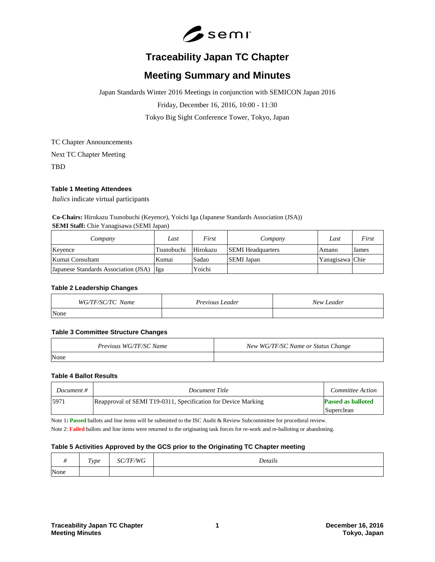

# **Traceability Japan TC Chapter**

# **Meeting Summary and Minutes**

Japan Standards Winter 2016 Meetings in conjunction with SEMICON Japan 2016

Friday, December 16, 2016, 10:00 - 11:30

Tokyo Big Sight Conference Tower, Tokyo, Japan

TC Chapter Announcements

Next TC Chapter Meeting

TBD

## **Table 1 Meeting Attendees**

*Italics* indicate virtual participants

**Co-Chairs:** Hirokazu Tsunobuchi (Keyence), Yoichi Iga (Japanese Standards Association (JSA)) **SEMI Staff:** Chie Yanagisawa (SEMI Japan)

| Company                              | Last       | First    | Company                  | Last            | First |
|--------------------------------------|------------|----------|--------------------------|-----------------|-------|
| Keyence                              | Tsunobuchi | Hirokazu | <b>SEMI</b> Headquarters | Amano           | James |
| Kumai Consultant                     | Kumai      | Sadao    | <b>SEMI</b> Japan        | Yanagisawa Chie |       |
| Japanese Standards Association (JSA) | - Ilga     | Yoichi   |                          |                 |       |

#### **Table 2 Leadership Changes**

| WG/TF/SC/TC Name | <i>Previous Leader</i> | New Leader |
|------------------|------------------------|------------|
| None             |                        |            |

#### **Table 3 Committee Structure Changes**

| Previous WG/TF/SC Name | New WG/TF/SC Name or Status Change |
|------------------------|------------------------------------|
| None                   |                                    |

#### **Table 4 Ballot Results**

| Document # | Document Title                                                | Committee Action                        |
|------------|---------------------------------------------------------------|-----------------------------------------|
| 15971      | Reapproval of SEMI T19-0311, Specification for Device Marking | <b>Passed as balloted</b><br>Superclean |

Note 1**: Passed** ballots and line items will be submitted to the ISC Audit & Review Subcommittee for procedural review.

Note 2: **Failed** ballots and line items were returned to the originating task forces for re-work and re-balloting or abandoning.

## **Table 5 Activities Approved by the GCS prior to the Originating TC Chapter meeting**

|      | $\mathbf{r}$ | T T T T | $\cdot$ $\cdot$ |
|------|--------------|---------|-----------------|
|      | Type         | WG      | Details         |
| None |              |         |                 |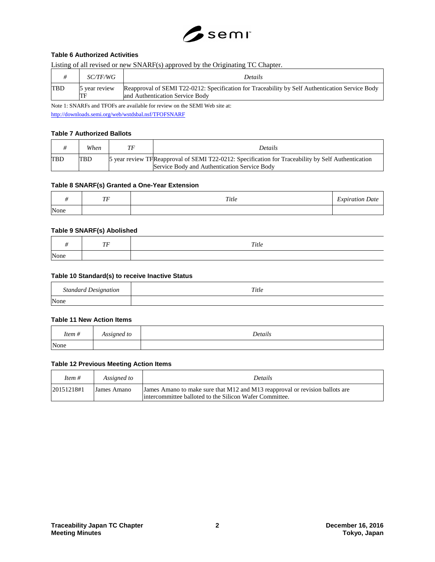

# **Table 6 Authorized Activities**

#### Listing of all revised or new SNARF(s) approved by the Originating TC Chapter.

|            | <i>SC/TF/WG</i>     | <b>Details</b>                                                                                                                     |
|------------|---------------------|------------------------------------------------------------------------------------------------------------------------------------|
| <b>TBD</b> | 5 year review<br>TF | Reapproval of SEMI T22-0212: Specification for Traceability by Self Authentication Service Body<br>and Authentication Service Body |

Note 1: SNARFs and TFOFs are available for review on the SEMI Web site at: <http://downloads.semi.org/web/wstdsbal.nsf/TFOFSNARF>

## **Table 7 Authorized Ballots**

|            | When       | ТF | <i>Details</i>                                                                                                                                     |
|------------|------------|----|----------------------------------------------------------------------------------------------------------------------------------------------------|
| <b>TBD</b> | <b>TBD</b> |    | 5 year review TFReapproval of SEMI T22-0212: Specification for Traceability by Self Authentication<br>Service Body and Authentication Service Body |

#### **Table 8 SNARF(s) Granted a One-Year Extension**

|      | TЕ | Title | $\overline{\phantom{a}}$<br>xpiration<br>Jate<br>$-1$ |
|------|----|-------|-------------------------------------------------------|
| None |    |       |                                                       |

## **Table 9 SNARF(s) Abolished**

|                   | ŦЕ<br>. . | Title |
|-------------------|-----------|-------|
| <b>INT</b><br>one |           |       |

#### **Table 10 Standard(s) to receive Inactive Status**

| <b>Standard Designation</b> | Title |
|-----------------------------|-------|
| None                        |       |

#### **Table 11 New Action Items**

| Item# | Assigned to | Details |
|-------|-------------|---------|
| None  |             |         |

#### **Table 12 Previous Meeting Action Items**

| Item #     | Assigned to | <b>Details</b>                                                                                                                           |
|------------|-------------|------------------------------------------------------------------------------------------------------------------------------------------|
| 20151218#1 | James Amano | James Amano to make sure that M12 and M13 reapproval or revision ballots are<br>lintercommittee balloted to the Silicon Wafer Committee. |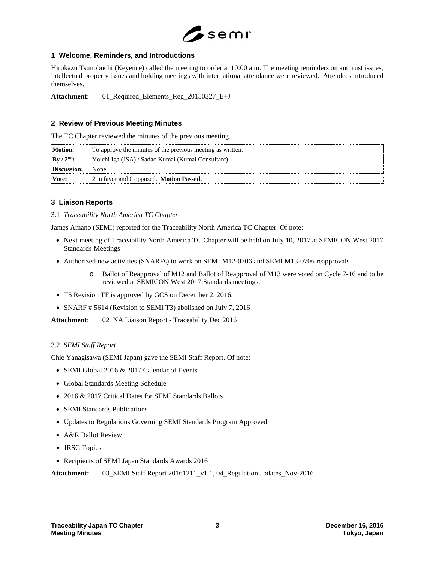

## **1 Welcome, Reminders, and Introductions**

Hirokazu Tsunobuchi (Keyence) called the meeting to order at 10:00 a.m. The meeting reminders on antitrust issues, intellectual property issues and holding meetings with international attendance were reviewed. Attendees introduced themselves.

**Attachment**: 01\_Required\_Elements\_Reg\_20150327\_E+J

# **2 Review of Previous Meeting Minutes**

The TC Chapter reviewed the minutes of the previous meeting.

| Motion:                        | To approve the minutes of the previous meeting as written. |  |
|--------------------------------|------------------------------------------------------------|--|
| $\vert$ By / 2 <sup>nd</sup> : | Yoichi Iga (JSA) / Sadao Kumai (Kumai Consultant)          |  |
| Discussion:                    | : None                                                     |  |
| Vote:                          | $ 2$ in favor and 0 opposed. <b>Motion Passed.</b>         |  |

## **3 Liaison Reports**

## 3.1 *Traceability North America TC Chapter*

James Amano (SEMI) reported for the Traceability North America TC Chapter. Of note:

- Next meeting of Traceability North America TC Chapter will be held on July 10, 2017 at SEMICON West 2017 Standards Meetings
- Authorized new activities (SNARFs) to work on SEMI M12-0706 and SEMI M13-0706 reapprovals
	- o Ballot of Reapproval of M12 and Ballot of Reapproval of M13 were voted on Cycle 7-16 and to be reviewed at SEMICON West 2017 Standards meetings.
- T5 Revision TF is approved by GCS on December 2, 2016.
- SNARF # 5614 (Revision to SEMI T3) abolished on July 7, 2016

**Attachment**: 02\_NA Liaison Report - Traceability Dec 2016

## 3.2 *SEMI Staff Report*

Chie Yanagisawa (SEMI Japan) gave the SEMI Staff Report. Of note:

- SEMI Global 2016 & 2017 Calendar of Events
- Global Standards Meeting Schedule
- 2016 & 2017 Critical Dates for SEMI Standards Ballots
- SEMI Standards Publications
- Updates to Regulations Governing SEMI Standards Program Approved
- A&R Ballot Review
- JRSC Topics
- Recipients of SEMI Japan Standards Awards 2016

**Attachment:** 03\_SEMI Staff Report 20161211\_v1.1, 04\_RegulationUpdates\_Nov-2016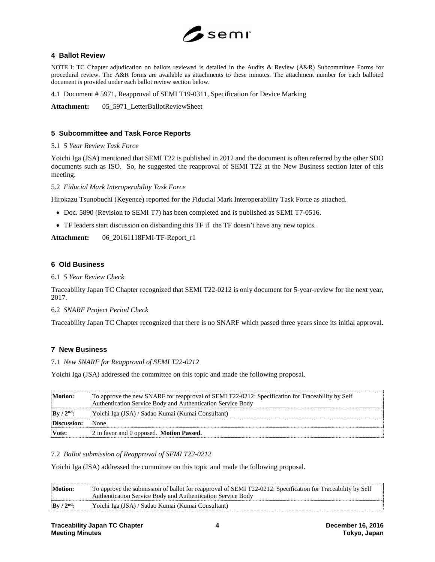

# **4 Ballot Review**

NOTE 1: TC Chapter adjudication on ballots reviewed is detailed in the Audits & Review (A&R) Subcommittee Forms for procedural review. The A&R forms are available as attachments to these minutes. The attachment number for each balloted document is provided under each ballot review section below.

4.1 Document # 5971, Reapproval of SEMI T19-0311, Specification for Device Marking

Attachment: 05\_5971\_LetterBallotReviewSheet

# **5 Subcommittee and Task Force Reports**

#### 5.1 *5 Year Review Task Force*

Yoichi Iga (JSA) mentioned that SEMI T22 is published in 2012 and the document is often referred by the other SDO documents such as ISO. So, he suggested the reapproval of SEMI T22 at the New Business section later of this meeting.

5.2 *Fiducial Mark Interoperability Task Force*

Hirokazu Tsunobuchi (Keyence) reported for the Fiducial Mark Interoperability Task Force as attached.

- Doc. 5890 (Revision to SEMI T7) has been completed and is published as SEMI T7-0516.
- TF leaders start discussion on disbanding this TF if the TF doesn't have any new topics.

**Attachment:** 06\_20161118FMI-TF-Report\_r1

## **6 Old Business**

#### 6.1 *5 Year Review Check*

Traceability Japan TC Chapter recognized that SEMI T22-0212 is only document for 5-year-review for the next year, 2017.

## 6.2 *SNARF Project Period Check*

Traceability Japan TC Chapter recognized that there is no SNARF which passed three years since its initial approval.

## **7 New Business**

#### 7.1 *New SNARF for Reapproval of SEMI T22-0212*

Yoichi Iga (JSA) addressed the committee on this topic and made the following proposal.

| Motion:                        | To approve the new SNARF for reapproval of SEMI T22-0212: Specification for Traceability by Self<br>Authentication Service Body and Authentication Service Body |  |
|--------------------------------|-----------------------------------------------------------------------------------------------------------------------------------------------------------------|--|
| $\vert$ By / 2 <sup>nd</sup> : | Yoichi Iga (JSA) / Sadao Kumai (Kumai Consultant)                                                                                                               |  |
| Discussion:                    | <i>None</i>                                                                                                                                                     |  |
| Vote:                          | 2 in favor and 0 opposed. Motion Passed.                                                                                                                        |  |

## 7.2 *Ballot submission of Reapproval of SEMI T22-0212*

Yoichi Iga (JSA) addressed the committee on this topic and made the following proposal.

| Motion:      | To approve the submission of ballot for reapproval of SEMI T22-0212: Specification for Traceability by Self<br>Authentication Service Body and Authentication Service Body |
|--------------|----------------------------------------------------------------------------------------------------------------------------------------------------------------------------|
| $By / 2nd$ : | Yoichi Iga (JSA) / Sadao Kumai (Kumai Consultant)                                                                                                                          |